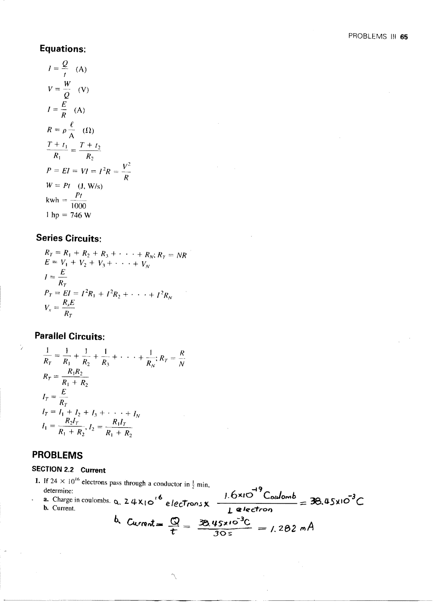## **Equations:**

$$
I = \frac{Q}{t}
$$
 (A)  
\n
$$
V = \frac{W}{Q}
$$
 (V)  
\n
$$
I = \frac{E}{R}
$$
 (A)  
\n
$$
R = \rho \frac{\ell}{A}
$$
 (1)  
\n
$$
\frac{T + t_1}{R_1} = \frac{T + t_2}{R_2}
$$
  
\n
$$
P = EI = VI = I^2R = \frac{V^2}{R}
$$
  
\n
$$
W = Pt
$$
 (J, W/s)  
\n
$$
kwh = \frac{Pt}{1000}
$$
  
\n1 hp = 746 W

## **Series Circuits:**

 $R_T = R_1 + R_2 + R_3 + \cdots + R_N$ ;  $R_T = NR$ <br>  $E = V_1 + V_2 + V_3 + \cdots + V_N$  $I = \frac{E}{R_T}$  $P_T = EI = I^2 R_1 + I^2 R_2 + \cdots + I^2 R_N$  $V_x = \frac{R_x E}{R_x}$ 

# **Parallel Circuits:**

$$
\frac{1}{R_T} = \frac{1}{R_1} + \frac{1}{R_2} + \frac{1}{R_3} + \dots + \frac{1}{R_N}; R_T = \frac{R_1 R_2}{R_1 + R_2}
$$
\n
$$
I_T = \frac{E}{R_T}
$$
\n
$$
I_T = I_1 + I_2 + I_3 + \dots + I_N
$$
\n
$$
I_1 = \frac{R_2 I_T}{R_1 + R_2}, I_2 = \frac{R_1 I_T}{R_1 + R_2}
$$

# **PROBLEMS**

## SECTION 2.2 Current

1. If 24  $\times$  10<sup>16</sup> electrons pass through a conductor in  $\frac{1}{2}$  min, If  $24 \times 10^{-6}$  electrons pass through a conductor in  $\frac{1}{2}$  min,<br>determine:<br>a. Charge in coulombs. Q. 2 4 X<sub>1</sub> O<sup>16</sup> electrons x  $\frac{1.6 \times 10^{-3} \text{Coulomb}}{1 \text{ electron}} = 36.45 \times 10^{-3} \text{C}$ b. Current =  $\frac{Q}{t} = \frac{38.45 \times 10^{-3}C}{30 s} = 1.282 \text{ m A}$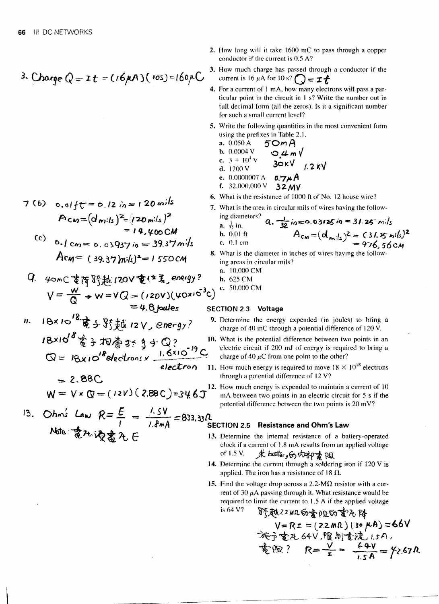3. Charge 
$$
Q =
$$
 1 $t = (16 \mu A)(105) = 160 \mu C$ 

7 (b) 
$$
0.01 f t = 0.12 i_0 = 120 \text{ m}^{\frac{1}{3}}
$$
  
\n
$$
A c m = (d m)ls \frac{2}{3} [(20 m)ls]^2
$$
\n
$$
= 14.400 \text{ CM}
$$
\n(c)  $0.1 cm = 0.03937 i_0 = 39.37 \text{ m}^{\frac{1}{3}}$   
\n
$$
A c m = (39.37) m^{\frac{1}{3}} = 1550 \text{ CM}
$$

q. 
$$
40mC \not\equiv \frac{1}{3} \text{ with } 120V \not\equiv \text{if } 120V \text{ if } 120V \text{ if } 120V \text{ if } 120V \text{ if } 120V \text{ if } 120V \text{ if } 120V \text{ if } 120V \text{ if } 120V \text{ if } 120V \text{ if } 120V \text{ if } 120V \text{ if } 120V \text{ if } 120V \text{ if } 120V \text{ if } 120V \text{ if } 120V \text{ if } 120V \text{ if } 120V \text{ if } 120V \text{ if } 120V \text{ if } 120V \text{ if } 120V \text{ if } 120V \text{ if } 120V \text{ if } 120V \text{ if } 120V \text{ if } 120V \text{ if } 120V \text{ if } 120V \text{ if } 120V \text{ if } 120V \text{ if } 120V \text{ if } 120V \text{ if } 120V \text{ if } 120V \text{ if } 120V \text{ if } 120V \text{ if } 120V \text{ if } 120V \text{ if } 120V \text{ if } 120V \text{ if } 120V \text{ if } 120V \text{ if } 120V \text{ if } 120V \text{ if } 120V \text{ if } 120V \text{ if } 120V \text{ if } 120V \text{ if } 120V \text{ if } 120V \text{ if } 120V \text{ if } 120V \text{ if } 120V \text{ if } 120V \text{ if } 120V \text{ if } 120V \text{ if } 120V \text{ if } 120V \text{ if } 120V \text{ if } 120V \text{ if } 120V \text{ if } 120V \text{ if } 120V \text{ if } 120V \text{ if } 120V \text{ if } 120V \text{ if } 120V \text{ if } 120V \text{ if } 120V \text{ if } 120V \text{ if } 120V \
$$

\n
$$
18 \times 10^{18} \text{ R} \div 35 \text{ Hz}
$$
 \n  $12 \text{ V, energy}$  \n

\n\n $18 \times 10^{18} \text{ R} \div 35 \text{ Hz}$  \n  $3 \div 0$  \n

\n\n $18 \times 10^{18} \text{ R} \div 35 \text{ Hz}$  \n  $18 \times 10^{19} \text{ C}$  \n

\n\n $Q = 18 \times 10^{18} \text{ electrons} \times \frac{1.6 \times 10^{-19} \text{ C}}{\text{electron}}$  \n

\n\n $= 2.88 \text{ C}$ \n

$$
W = V \times Q = (12V)(2.88C) = 34.6J^2
$$

13. Ohms Law 
$$
R = \frac{E}{I} = \frac{1.5V}{1.8mA} = 833.33R
$$
  
Note:  $\frac{1}{8}7.36 \frac{1}{8} \frac{1}{8} \frac{1}{1.8} \frac{1}{1.8} = 11$ 

- 2. How long will it take 1600 mC to pass through a copper conductor if the current is 0.5 A?
- 3. How much charge has passed through a conductor if the current is 16  $\mu$ A for 10 s?  $Q = \mathcal{I} \mathcal{L}$
- 4. For a current of 1 mA, how many electrons will pass a particular point in the circuit in 1 s? Write the number out in full decimal form (all the zeros). Is it a significant number for such a small current level?
- 5. Write the following quantities in the most convenient form using the prefixes in Table 2.1.

a. 0.050 A 50 mA  
\nb. 0.0004 V 0.4 m V  
\nc. 3 + 10<sup>4</sup>V 30kV 1.2 kV  
\nd. 1200 V  
\ne. 0.0000007 A 0.7
$$
\mu
$$
A  
\nf. 32.000,000 V 32 MV

- 6. What is the resistance of 1000 ft of No. 12 house wire?
- 7. What is the area in circular mils of wires having the follow-

ing diameters? **a.** 
$$
\frac{1}{32}
$$
 in=0.03725 in = 31.25 m·ls  
\nb. 0.01 ft  
\nc. 0.1 cm  
\n**b.** 0.01 cm  
\n**c.** 0.1 cm

- 8. What is the diameter in inches of wires having the following areas in circular mils?
	- a. 10,000 CM
	- $b. 625 \text{ CM}$
	- c. 50,000 CM

### SECTION 2.3 Voltage

- 9. Determine the energy expended (in joules) to bring a charge of 40 mC through a potential difference of 120 V.
- 0. What is the potential difference between two points in an electric circuit if 200 mJ of energy is required to bring a charge of 40  $\mu$ C from one point to the other?
- 1. How much energy is required to move  $18 \times 10^{18}$  electrons through a potential difference of 12 V?
- 2. How much energy is expended to maintain a current of 10 mA between two points in an electric circuit for 5 s if the potential difference between the two points is 20 mV?

### ECTION 2.5 Resistance and Ohm's Law

- 3. Determine the internal resistance of a battery-operated clock if a current of 1.8 mA results from an applied voltage 求battery的t好懂阻 of 1.5 V.
- 14. Determine the current through a soldering iron if 120 V is applied. The iron has a resistance of 18  $\Omega$ .
- 15. Find the voltage drop across a 2.2-M $\Omega$  resistor with a current of 30  $\mu$ A passing through it. What resistance would be required to limit the current to 1.5 A if the applied voltage is  $64V$ ?  $T = 1$

\n
$$
\nabla^2
$$
 \n  $\nabla^2 \mathbf{A} \cdot \mathbf{A}^2 = (22 \, \text{m}^2)(2 \, \text{m}^2)(2 \, \text{m}^2)(3 \, \text{m}^2)(3 \, \text{m}^2)(3 \, \text{m}^2)(3 \, \text{m}^2)(3 \, \text{m}^2)(3 \, \text{m}^2)(3 \, \text{m}^2)(3 \, \text{m}^2)(3 \, \text{m}^2)(3 \, \text{m}^2)(3 \, \text{m}^2)(3 \, \text{m}^2)(3 \, \text{m}^2)(3 \, \text{m}^2)(3 \, \text{m}^2)(3 \, \text{m}^2)(3 \, \text{m}^2)(3 \, \text{m}^2)(3 \, \text{m}^2)(3 \, \text{m}^2)(3 \, \text{m}^2)(3 \, \text{m}^2)(3 \, \text{m}^2)(3 \, \text{m}^2)(3 \, \text{m}^2)(3 \, \text{m}^2)(3 \, \text{m}^2)(3 \, \text{m}^2)(3 \, \text{m}^2)(3 \, \text{m}^2)(3 \, \text{m}^2)(3 \, \text{m}^2)(3 \, \text{m}^2)(3 \, \text{m}^2)(3 \, \text{m}^2)(3 \, \text{m}^2)(3 \, \text{m}^2)(3 \, \text{m}^2)(3 \, \text{m}^2)(3 \, \text{m}^2)(3 \, \text{m}^2)(3 \, \text{m}^2)(3 \, \text{m}^2)(3 \, \text{m}^2)(3 \, \text{m}^2)(3 \, \text{m}^2)(3 \, \text{m}^2)(3 \, \text{m}^2)(3 \, \text{m}^2)(3 \, \text{m}^2)(3 \, \text{m}^2)(3 \, \text{m}^2)(3 \, \text{m}^2)(3 \, \text{m}^2)(3 \, \text{m}^2)(3 \, \text{m}^2)(3 \, \text{m}^2)(3 \, \text{m}^2)(3 \, \text{m}^2)(3 \, \text{m}^2)(3 \, \text{m}^2)(3 \, \text{m}^2)(3 \, \text{$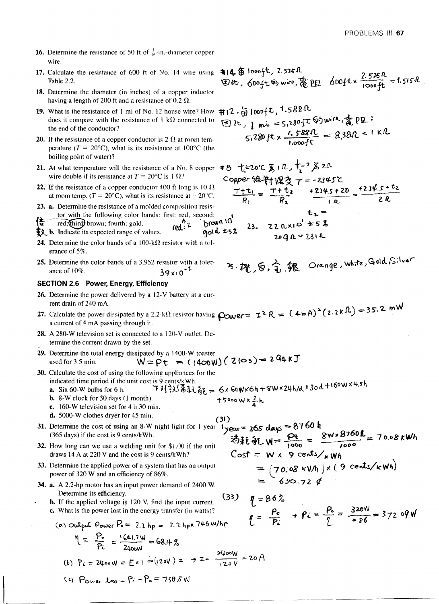- **16.** Determine the resistance of 50 ft of  $\frac{1}{16}$ -in.-diameter copper wire.
- 17. Calculate the resistance of 600 ft of No. 14 wire using \$14 5 1000 ft, 2.525 R. Table 2.2.
- 18. Determine the diameter (in inches) of a copper inductor having a length of 200 ft and a resistance of 0.2  $\Omega$ .
- 19. What is the resistance of 1 mi of No. 12 house wire? How does it compare with the resistance of  $1 k\Omega$  connected to the end of the conductor?
- **20.** If the resistance of a copper conductor is 2  $\Omega$  at room temperature ( $T = 20^{\circ}\text{C}$ ), what is its resistance at 100°C (the boiling point of water)?
- 21. At what temperature will the resistance of a No. 8 copper wire double if its resistance at  $T = 20^{\circ}\text{C}$  is 1  $\Omega$ ?
- 22. If the resistance of a copper conductor 400 ft long is 10  $\Omega$ at room temp. ( $T = 20^{\circ}\text{C}$ ), what is its resistance at  $-20^{\circ}\text{C}$ .
- 23. a. Determine the resistance of a molded composition resistor with the following color bands: first: red; second:
- red; (third) brown; fourth: gold. brow **Let** b. Indicate its expected range of values. gold
- 24. Determine the color bands of a 100-k $\Omega$  resistor with a tolerance of 5%.
- 25. Determine the color bands of a 3.952 resistor with a tolerance of 10%.  $39x10^{-1}$

#### **SECTION 2.6 Power, Energy, Efficiency**

- 26. Determine the power delivered by a 12-V battery at a current drain of 240 mA.
- 27. Calculate the power dissipated by a 2.2-k $\Omega$  resistor having  $\rho_{\text{CME}} = \mathbb{I}^2 R = (4 \pi A)^2 (2.2 \kappa \Omega) = 35.2 \text{ mW}$ <br>a current of 4 mA passing theoretic a current of 4 mA passing through it.
- 28. A 280-W television set is connected to a 120-V outlet. Determine the current drawn by the set.
- 29. Determine the total energy dissipated by a 1400-W toaster  $W = Pt = (1400W)(210s) = 294kJ$ used for 3.5 min.
- 30. Calculate the cost of using the following appliances for the indicated time period if the unit cost is 9 cents/kWh.
	- 下列認得托能= Gx GoWXGh+8WX24h/dx3od+160WX4.5h a. Six 60-W bulbs for 6 h.
	- $+5000 \text{W} \times \frac{3}{4} \text{h}$ **b.** 8-W clock for 30 days  $(1 \text{ month})$ . c. 160-W television set for 4 h 30 min.
	- d. 5000-W clothes dryer for 45 min.
- $(31)$ 31. Determine the cost of using an 8-W night light for 1 year (365 days) if the cost is 9 cents/kWh.
- 32. How long can we use a welding unit for \$1.00 if the unit draws 14 A at 220 V and the cost is 9 cents/kWh?
- 33. Determine the applied power of a system that has an output power of 320 W and an efficiency of 86%.
- 34. a. A 2.2-hp motor has an input power demand of 2400 W. Determine its efficiency.
	- **b.** If the applied voltage is  $120$  V, find the input current. c. What is the power lost in the energy transfer (in watts)?

(a) Output Power P<sub>0</sub> = 2.2 hp = 2.2 hp×746 w/hp  
\n
$$
M = \frac{P_o}{P_L} = \frac{1.641.2W}{2400W} = 68.4\%
$$
\n(b) P<sub>L</sub> = 2400 W = E × 1 = (120V) x  $\rightarrow$  Z =  $\frac{2400W}{120V} = 20$  A

**EDite**, Spott 63 wire,  $\frac{1}{6}$  PEL SOOft x  $\frac{2.525R}{1000ft}$  = 1.515R

$$
\begin{array}{l}\n\text{#12.} \frac{1}{\Theta} 1000 \, \text{1.588R} \\
\text{(3.1)} \frac{1}{\Theta} 1000 \, \text{1.588R} \\
\text{(4.1)} \frac{1}{\Theta} 1000 \, \text{1.588R} \\
\text{(5.28)} \frac{1}{\Theta} 1000 \, \text{1.588R} \\
\text{(6.1)} \frac{1}{\Theta} 000 \, \text{1.588R} \\
\text{(7.1)} \frac{1}{\Theta} 000 \, \text{1.588R}\n\end{array}
$$

 $1 - 000$ 

$$
1 year = 365 days = 8760 h
$$
  
\n
$$
\overline{3} \overline{4} \overline{t} \overline{8} \overline{t} W = \frac{\rho_t}{1000} = \frac{8w \times 8760 h}{1000} = 70.08 kW h
$$
  
\n
$$
Cost = W \times 9 \text{ cents} /_{K}Wh
$$
  
\n
$$
= (70.08 kWh) \times (9 \text{ cents} /_{K}Wh)
$$
  
\n
$$
= 630.72 g
$$

- $(33)$  $\eta = 86\%$  $\frac{P_o}{\phi}$  +  $\beta_c = \frac{P_o}{\phi} = \frac{320W}{\phi B6} = 372.09W$
- (9)  $P_{\text{Duse}}$   $\Delta_{\text{BS}} = P_1 P_0 = 758.8 \text{ W}$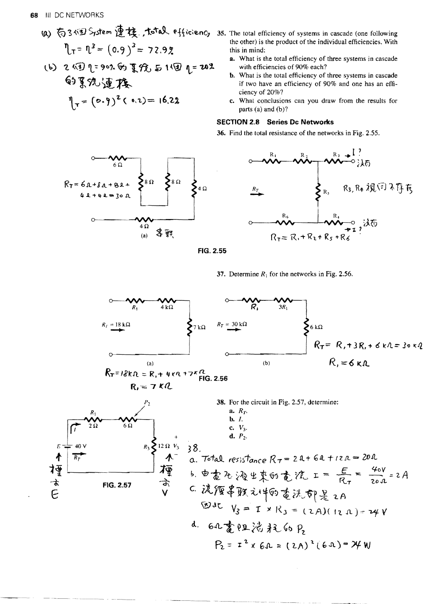(a) 
$$
\overline{6}
$$
 3 $\sqrt{5}$  5 $\sqrt{5}$  6 $\sqrt{2}$  1 $\sqrt{2}$  2 $\sqrt{5}$  6 $\sqrt{6}$  1 $\sqrt{1}$  1 $\sqrt{3}$  = (0.9) $\sqrt{3}$  = 72.92

(b) 2個1:902的复发与1個1=202 的系统速接

$$
\eta_{\tau} = (0.9)^2 (0.2) = 16.22
$$

- 35. The total efficiency of systems in cascade (one following the other) is the product of the individual efficiencies. With this in mind:
	- a. What is the total efficiency of three systems in cascade with efficiencies of 90% each?
	- b. What is the total efficiency of three systems in cascade if two have an efficiency of 90% and one has an efficiency of 20%?
	- c. What conclusions can you draw from the results for parts (a) and (b)?

### **SECTION 2.8 Series Dc Networks**

36. Find the total resistance of the networks in Fig. 2.55.





FIG. 2.55

37. Determine  $R_1$  for the networks in Fig. 2.56.

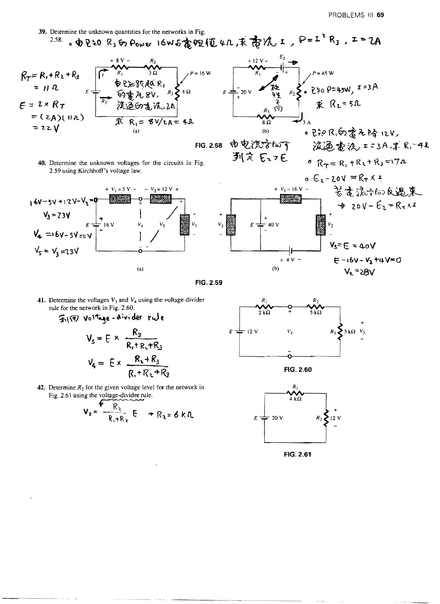$V_2 = 28V$ 

39. Determine the unknown quantities for the networks in Fig.  $2.58.$ 。中日20 R3的Power 16W石高恒110.求帝况工、P=I2R3.エ=ZA

 $-V_2 = 12 V +$ 

$$
R_{T} = R_{1} + R_{2} + R_{3}
$$
\n
$$
= H \cdot R
$$
\n
$$
= I \times R_{T}
$$
\n
$$
= (2A)(H_{A})
$$
\n
$$
= 2Z V
$$
\n
$$
= 2Z V
$$
\n
$$
= 2 \times R_{1} = 8V/LA = 4R
$$

2.59 using Kirchhoff's voltage law.

 $\frac{1}{2}$  16 V

 $E^+$ 

 $16V - 5V + 12V - V_3 = 9$ 

 $V_3 = 23V$ 

 $V_5 = V_2 = 23V$ 

 $V_4 = 16V - 5V = 11V$ 

FIG. 2.58

 $\begin{matrix} \overbrace{R_1^2} & R_2 \\ R_3 & \overbrace{R_3} \\ R_4 & \overbrace{R_4} \end{matrix}$   $\begin{matrix} 1 \\ R_1 \\ R_2 \end{matrix}$   $\begin{matrix} 1 \\ R_2 \\ R_3 \end{matrix}$   $\begin{matrix} 1 \\ R_3 \end{matrix}$  $\frac{1}{20}$  v  $\frac{1}{20}$  $\overline{E}$  . ● Pシス向要无降にV  $(b)$ 由电流方向下 **液逼查浼 ==3A,求R,≥4l**  $R_T = R_1 + R_2 + R_3 = 17a$ 列戻 にっと 40. Determine the unknown voltages for the circuits in Fig.  $0 \n\in \mathbb{R} - 20V = R_T \times I$ 苦を浪示向反遇来 +  $V_1$  = 16 V -- 1323 14  $\rightarrow$  20V- $E_2 = R_7 \times I$  $V_2$ 40 V E  $V_3 = E = 40V$  $E - 16V - V_2 + 4V = 0$ 4 V



41. Determine the voltages  $V_3$  and  $V_4$  using the voltage-divider rule for the network in Fig. 2.60.

 $+ V_1 = 5 V -$ 

-ọ.

 $V_4$ 

 $(a)$ 

$$
\frac{1}{2} \sqrt{3} \sqrt{3} \sqrt{3} \sqrt{3} = E \times \frac{R_3}{R_1 + R_2 + R_3}
$$
  

$$
V_4 = E \times \frac{R_3 + R_3}{R_1 + R_2 + R_3}
$$

42. Determine  $R_2$  for the given voltage level for the network in Fig. 2.61 using the voltage-divider rule.

$$
V_2 = \frac{R_2}{R_1 + R_2} E + R_2 = 6 kR
$$



 $(b)$ 





FIG. 2.61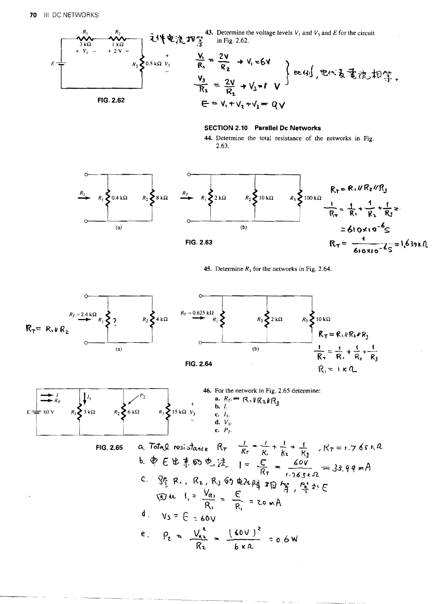

#### **SECTION 2.10 Parallel Dc Networks**

44. Determine the total resistance of the networks in Fig. 2.63.



45. Determine  $R_1$  for the networks in Fig. 2.64.

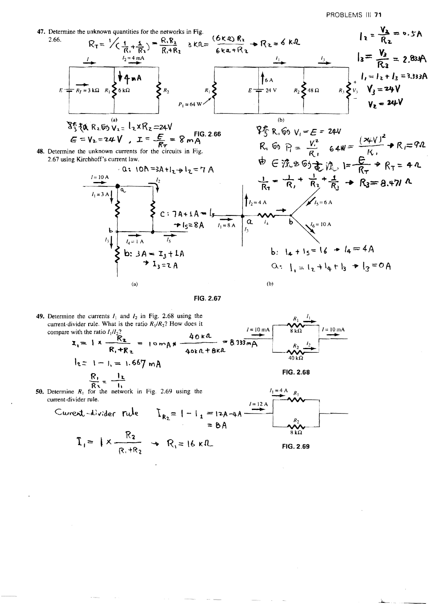

FIG. 2.67